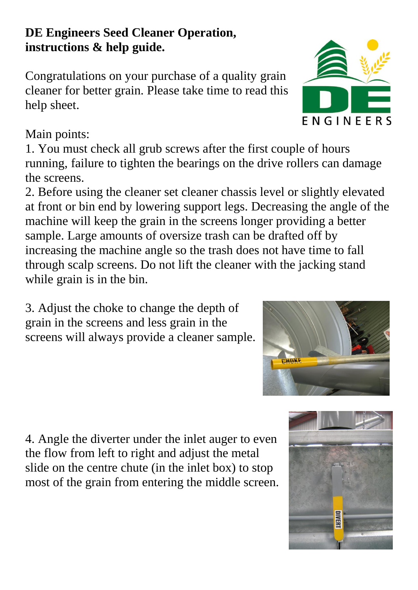### **DE Engineers Seed Cleaner Operation, instructions & help guide.**

Congratulations on your purchase of a quality grain cleaner for better grain. Please take time to read this help sheet.

## Main points:

1. You must check all grub screws after the first couple of hours running, failure to tighten the bearings on the drive rollers can damage the screens.

2. Before using the cleaner set cleaner chassis level or slightly elevated at front or bin end by lowering support legs. Decreasing the angle of the machine will keep the grain in the screens longer providing a better sample. Large amounts of oversize trash can be drafted off by increasing the machine angle so the trash does not have time to fall through scalp screens. Do not lift the cleaner with the jacking stand while grain is in the bin.

3. Adjust the choke to change the depth of grain in the screens and less grain in the screens will always provide a cleaner sample.

4. Angle the diverter under the inlet auger to even the flow from left to right and adjust the metal slide on the centre chute (in the inlet box) to stop most of the grain from entering the middle screen.





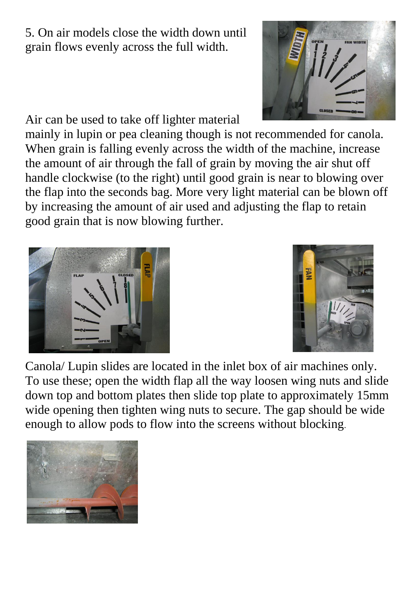5. On air models close the width down until grain flows evenly across the full width.

Air can be used to take off lighter material

mainly in lupin or pea cleaning though is not recommended for canola. When grain is falling evenly across the width of the machine, increase the amount of air through the fall of grain by moving the air shut off handle clockwise (to the right) until good grain is near to blowing over the flap into the seconds bag. More very light material can be blown off by increasing the amount of air used and adjusting the flap to retain good grain that is now blowing further.

Canola/ Lupin slides are located in the inlet box of air machines only. To use these; open the width flap all the way loosen wing nuts and slide down top and bottom plates then slide top plate to approximately 15mm wide opening then tighten wing nuts to secure. The gap should be wide enough to allow pods to flow into the screens without blocking.





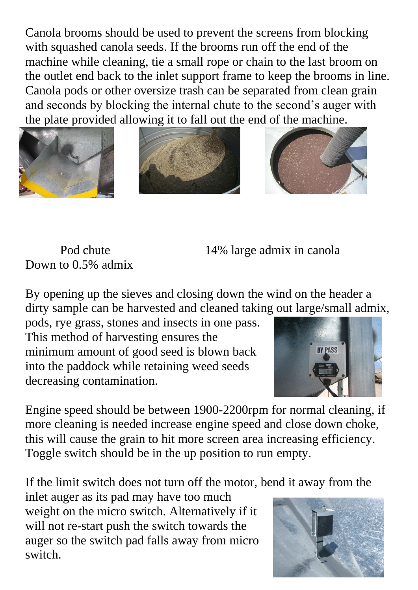Canola brooms should be used to prevent the screens from blocking with squashed canola seeds. If the brooms run off the end of the machine while cleaning, tie a small rope or chain to the last broom on the outlet end back to the inlet support frame to keep the brooms in line. Canola pods or other oversize trash can be separated from clean grain and seconds by blocking the internal chute to the second's auger with the plate provided allowing it to fall out the end of the machine.







Down to 0.5% admix

Pod chute 14% large admix in canola

By opening up the sieves and closing down the wind on the header a dirty sample can be harvested and cleaned taking out large/small admix,

pods, rye grass, stones and insects in one pass. This method of harvesting ensures the minimum amount of good seed is blown back into the paddock while retaining weed seeds decreasing contamination.



Engine speed should be between 1900-2200rpm for normal cleaning, if more cleaning is needed increase engine speed and close down choke, this will cause the grain to hit more screen area increasing efficiency. Toggle switch should be in the up position to run empty.

If the limit switch does not turn off the motor, bend it away from the

inlet auger as its pad may have too much weight on the micro switch. Alternatively if it will not re-start push the switch towards the auger so the switch pad falls away from micro switch.

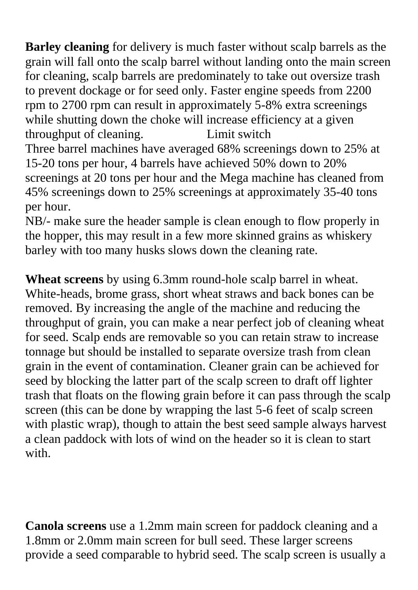**Barley cleaning** for delivery is much faster without scalp barrels as the grain will fall onto the scalp barrel without landing onto the main screen for cleaning, scalp barrels are predominately to take out oversize trash to prevent dockage or for seed only. Faster engine speeds from 2200 rpm to 2700 rpm can result in approximately 5-8% extra screenings while shutting down the choke will increase efficiency at a given throughput of cleaning. Limit switch Three barrel machines have averaged 68% screenings down to 25% at 15-20 tons per hour, 4 barrels have achieved 50% down to 20% screenings at 20 tons per hour and the Mega machine has cleaned from 45% screenings down to 25% screenings at approximately 35-40 tons per hour.

NB/- make sure the header sample is clean enough to flow properly in the hopper, this may result in a few more skinned grains as whiskery barley with too many husks slows down the cleaning rate.

**Wheat screens** by using 6.3mm round-hole scalp barrel in wheat. White-heads, brome grass, short wheat straws and back bones can be removed. By increasing the angle of the machine and reducing the throughput of grain, you can make a near perfect job of cleaning wheat for seed. Scalp ends are removable so you can retain straw to increase tonnage but should be installed to separate oversize trash from clean grain in the event of contamination. Cleaner grain can be achieved for seed by blocking the latter part of the scalp screen to draft off lighter trash that floats on the flowing grain before it can pass through the scalp screen (this can be done by wrapping the last 5-6 feet of scalp screen with plastic wrap), though to attain the best seed sample always harvest a clean paddock with lots of wind on the header so it is clean to start with.

**Canola screens** use a 1.2mm main screen for paddock cleaning and a 1.8mm or 2.0mm main screen for bull seed. These larger screens provide a seed comparable to hybrid seed. The scalp screen is usually a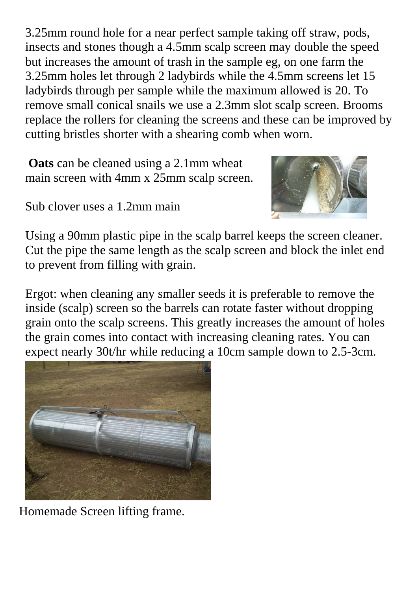3.25mm round hole for a near perfect sample taking off straw, pods, insects and stones though a 4.5mm scalp screen may double the speed but increases the amount of trash in the sample eg, on one farm the 3.25mm holes let through 2 ladybirds while the 4.5mm screens let 15 ladybirds through per sample while the maximum allowed is 20. To remove small conical snails we use a 2.3mm slot scalp screen. Brooms replace the rollers for cleaning the screens and these can be improved by cutting bristles shorter with a shearing comb when worn.

**Oats** can be cleaned using a 2.1mm wheat main screen with 4mm x 25mm scalp screen.



Sub clover uses a 1.2mm main

Using a 90mm plastic pipe in the scalp barrel keeps the screen cleaner. Cut the pipe the same length as the scalp screen and block the inlet end to prevent from filling with grain.

Ergot: when cleaning any smaller seeds it is preferable to remove the inside (scalp) screen so the barrels can rotate faster without dropping grain onto the scalp screens. This greatly increases the amount of holes the grain comes into contact with increasing cleaning rates. You can expect nearly 30t/hr while reducing a 10cm sample down to 2.5-3cm.



Homemade Screen lifting frame.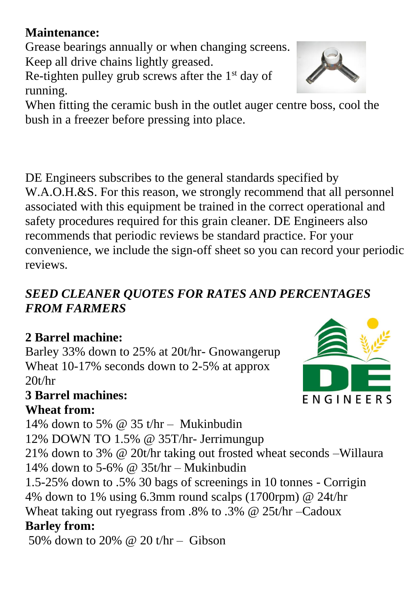## **Maintenance:**

Grease bearings annually or when changing screens. Keep all drive chains lightly greased.

Re-tighten pulley grub screws after the  $1<sup>st</sup>$  day of running.

When fitting the ceramic bush in the outlet auger centre boss, cool the bush in a freezer before pressing into place.

DE Engineers subscribes to the general standards specified by W.A.O.H.&S. For this reason, we strongly recommend that all personnel associated with this equipment be trained in the correct operational and safety procedures required for this grain cleaner. DE Engineers also recommends that periodic reviews be standard practice. For your convenience, we include the sign-off sheet so you can record your periodic reviews.

## *SEED CLEANER QUOTES FOR RATES AND PERCENTAGES FROM FARMERS*

# **2 Barrel machine:**

Barley 33% down to 25% at 20t/hr- Gnowangerup Wheat 10-17% seconds down to 2-5% at approx  $20t/hr$ 

### **3 Barrel machines: Wheat from:**

14% down to 5%  $\omega$  35 t/hr – Mukinbudin

12% DOWN TO 1.5% @ 35T/hr- Jerrimungup

21% down to 3% @ 20t/hr taking out frosted wheat seconds –Willaura 14% down to 5-6%  $\omega$  35t/hr – Mukinbudin

1.5-25% down to .5% 30 bags of screenings in 10 tonnes - Corrigin 4% down to 1% using 6.3mm round scalps (1700rpm) @ 24t/hr Wheat taking out ryegrass from .8% to .3% @ 25t/hr –Cadoux **Barley from:**

50% down to 20% @ 20 t/hr – Gibson



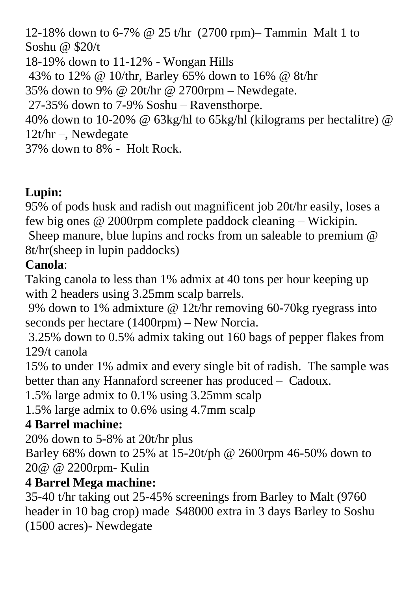12-18% down to 6-7% @ 25 t/hr (2700 rpm)– Tammin Malt 1 to Soshu @ \$20/t 18-19% down to 11-12% - Wongan Hills 43% to 12% @ 10/thr, Barley 65% down to 16% @ 8t/hr 35% down to 9% @ 20t/hr @ 2700rpm – Newdegate. 27-35% down to 7-9% Soshu – Ravensthorpe. 40% down to 10-20% @ 63kg/hl to 65kg/hl (kilograms per hectalitre) @ 12t/hr –, Newdegate 37% down to 8% - Holt Rock.

# **Lupin:**

95% of pods husk and radish out magnificent job 20t/hr easily, loses a few big ones @ 2000rpm complete paddock cleaning – Wickipin. Sheep manure, blue lupins and rocks from un saleable to premium @ 8t/hr(sheep in lupin paddocks)

# **Canola**:

Taking canola to less than 1% admix at 40 tons per hour keeping up with 2 headers using 3.25mm scalp barrels.

9% down to 1% admixture @ 12t/hr removing 60-70kg ryegrass into seconds per hectare (1400rpm) – New Norcia.

3.25% down to 0.5% admix taking out 160 bags of pepper flakes from 129/t canola

15% to under 1% admix and every single bit of radish. The sample was better than any Hannaford screener has produced – Cadoux.

1.5% large admix to 0.1% using 3.25mm scalp

1.5% large admix to 0.6% using 4.7mm scalp

# **4 Barrel machine:**

20% down to 5-8% at 20t/hr plus

Barley 68% down to 25% at 15-20t/ph @ 2600rpm 46-50% down to 20@ @ 2200rpm- Kulin

## **4 Barrel Mega machine:**

35-40 t/hr taking out 25-45% screenings from Barley to Malt (9760 header in 10 bag crop) made \$48000 extra in 3 days Barley to Soshu (1500 acres)- Newdegate